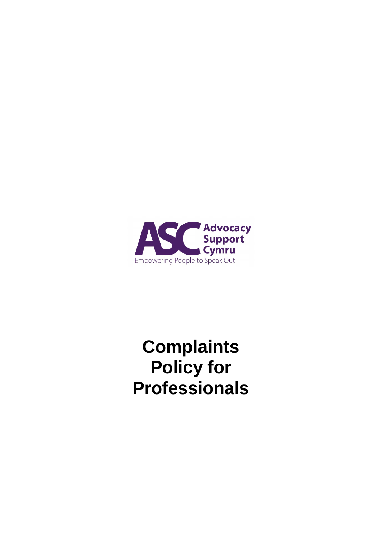

# **Complaints Policy for Professionals**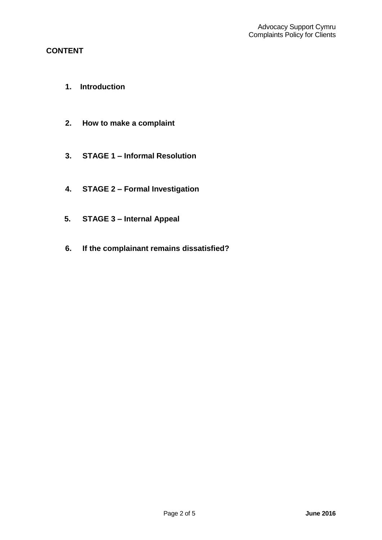## **CONTENT**

- **1. Introduction**
- **2. How to make a complaint**
- **3. STAGE 1 – Informal Resolution**
- **4. STAGE 2 – Formal Investigation**
- **5. STAGE 3 – Internal Appeal**
- **6. If the complainant remains dissatisfied?**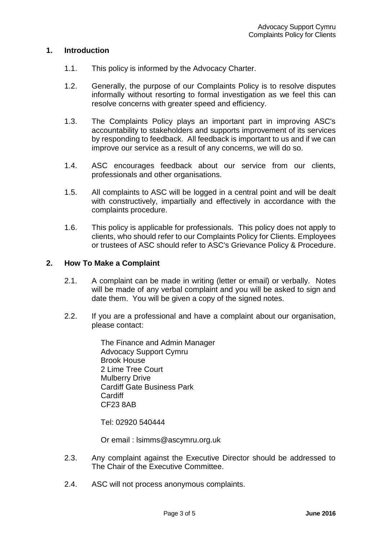## **1. Introduction**

- 1.1. This policy is informed by the Advocacy Charter.
- 1.2. Generally, the purpose of our Complaints Policy is to resolve disputes informally without resorting to formal investigation as we feel this can resolve concerns with greater speed and efficiency.
- 1.3. The Complaints Policy plays an important part in improving ASC's accountability to stakeholders and supports improvement of its services by responding to feedback. All feedback is important to us and if we can improve our service as a result of any concerns, we will do so.
- 1.4. ASC encourages feedback about our service from our clients, professionals and other organisations.
- 1.5. All complaints to ASC will be logged in a central point and will be dealt with constructively, impartially and effectively in accordance with the complaints procedure.
- 1.6. This policy is applicable for professionals. This policy does not apply to clients, who should refer to our Complaints Policy for Clients. Employees or trustees of ASC should refer to ASC's Grievance Policy & Procedure.

#### **2. How To Make a Complaint**

- 2.1. A complaint can be made in writing (letter or email) or verbally. Notes will be made of any verbal complaint and you will be asked to sign and date them. You will be given a copy of the signed notes.
- 2.2. If you are a professional and have a complaint about our organisation, please contact:

The Finance and Admin Manager Advocacy Support Cymru Brook House 2 Lime Tree Court Mulberry Drive Cardiff Gate Business Park **Cardiff** CF23 8AB

Tel: 02920 540444

Or email : lsimms@ascymru.org.uk

- 2.3. Any complaint against the Executive Director should be addressed to The Chair of the Executive Committee.
- 2.4. ASC will not process anonymous complaints.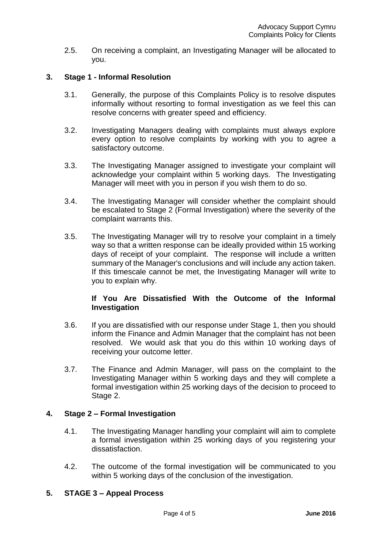2.5. On receiving a complaint, an Investigating Manager will be allocated to you.

## **3. Stage 1 - Informal Resolution**

- 3.1. Generally, the purpose of this Complaints Policy is to resolve disputes informally without resorting to formal investigation as we feel this can resolve concerns with greater speed and efficiency.
- 3.2. Investigating Managers dealing with complaints must always explore every option to resolve complaints by working with you to agree a satisfactory outcome.
- 3.3. The Investigating Manager assigned to investigate your complaint will acknowledge your complaint within 5 working days. The Investigating Manager will meet with you in person if you wish them to do so.
- 3.4. The Investigating Manager will consider whether the complaint should be escalated to Stage 2 (Formal Investigation) where the severity of the complaint warrants this.
- 3.5. The Investigating Manager will try to resolve your complaint in a timely way so that a written response can be ideally provided within 15 working days of receipt of your complaint. The response will include a written summary of the Manager's conclusions and will include any action taken. If this timescale cannot be met, the Investigating Manager will write to you to explain why.

## **If You Are Dissatisfied With the Outcome of the Informal Investigation**

- 3.6. If you are dissatisfied with our response under Stage 1, then you should inform the Finance and Admin Manager that the complaint has not been resolved. We would ask that you do this within 10 working days of receiving your outcome letter.
- 3.7. The Finance and Admin Manager, will pass on the complaint to the Investigating Manager within 5 working days and they will complete a formal investigation within 25 working days of the decision to proceed to Stage 2.

## **4. Stage 2 – Formal Investigation**

- 4.1. The Investigating Manager handling your complaint will aim to complete a formal investigation within 25 working days of you registering your dissatisfaction.
- 4.2. The outcome of the formal investigation will be communicated to you within 5 working days of the conclusion of the investigation.

## **5. STAGE 3 – Appeal Process**